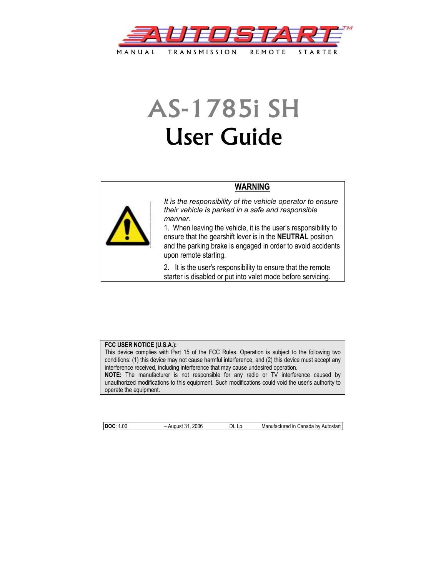

# AS-1785i SH User Guide



**WARNING**

*It is the responsibility of the vehicle operator to ensure their vehicle is parked in a safe and responsible manner.* 

1. When leaving the vehicle, it is the user's responsibility to ensure that the gearshift lever is in the **NEUTRAL** position and the parking brake is engaged in order to avoid accidents upon remote starting.

2. It is the user's responsibility to ensure that the remote starter is disabled or put into valet mode before servicing.

#### **FCC USER NOTICE (U.S.A.):**

This device complies with Part 15 of the FCC Rules. Operation is subject to the following two conditions: (1) this device may not cause harmful interference, and (2) this device must accept any interference received, including interference that may cause undesired operation.

**NOTE:** The manufacturer is not responsible for any radio or TV interference caused by unauthorized modifications to this equipment. Such modifications could void the user's authority to operate the equipment.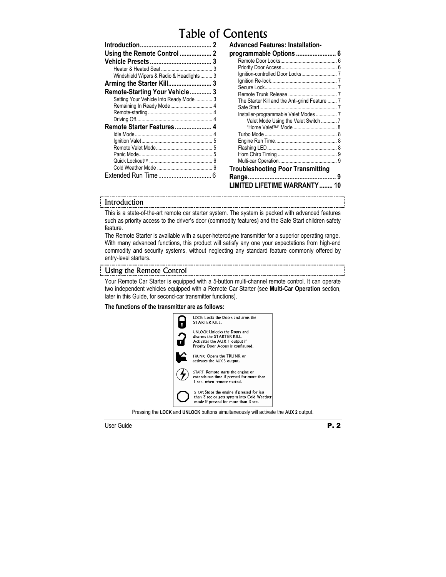# Table of Contents

| Using the Remote Control                 | 3 |
|------------------------------------------|---|
|                                          |   |
|                                          | 3 |
| Windshield Wipers & Radio & Headlights 3 |   |
|                                          |   |
| Remote-Starting Your Vehicle 3           |   |
| Setting Your Vehicle Into Ready Mode  3  |   |
|                                          |   |
|                                          |   |
|                                          |   |
| Remote Starter Features 4                |   |
|                                          |   |
|                                          | 5 |
|                                          |   |
|                                          |   |
|                                          | 6 |
|                                          | 6 |
| Extended Run Time                        |   |

| Advanced Features: Installation-<br>programmable Options  6 |   |
|-------------------------------------------------------------|---|
|                                                             |   |
|                                                             |   |
|                                                             |   |
|                                                             |   |
|                                                             |   |
|                                                             |   |
| The Starter Kill and the Anti-grind Feature  7              |   |
|                                                             |   |
| Installer-programmable Valet Modes 7                        |   |
| Valet Mode Using the Valet Switch  7                        |   |
| "Home Valet <sup>™</sup> " Mode  8                          |   |
|                                                             |   |
|                                                             |   |
|                                                             |   |
|                                                             |   |
|                                                             |   |
| <b>Troubleshooting Poor Transmitting</b>                    |   |
|                                                             | 9 |
| <b>LIMITED LIFETIME WARRANTY 10</b>                         |   |

#### Introduction

This is a state-of-the-art remote car starter system. The system is packed with advanced features such as priority access to the driver's door (commodity features) and the Safe Start children safety feature.

The Remote Starter is available with a super-heterodyne transmitter for a superior operating range. With many advanced functions, this product will satisfy any one your expectations from high-end commodity and security systems, without neglecting any standard feature commonly offered by entry-level starters.

#### Using the Remote Control

Your Remote Car Starter is equipped with a 5-button multi-channel remote control. It can operate two independent vehicles equipped with a Remote Car Starter (see **Multi-Car Operation** section, later in this Guide, for second-car transmitter functions).

#### **The functions of the transmitter are as follows:**



Pressing the **LOCK** and **UNLOCK** buttons simultaneously will activate the **AUX 2** output.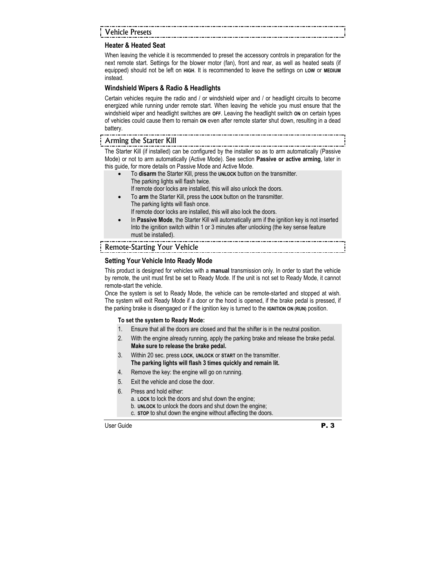# Vehicle Presets

# **Heater & Heated Seat**

When leaving the vehicle it is recommended to preset the accessory controls in preparation for the next remote start. Settings for the blower motor (fan), front and rear, as well as heated seats (if equipped) should not be left on **HIGH**. It is recommended to leave the settings on **LOW** or **MEDIUM** instead.

#### **Windshield Wipers & Radio & Headlights**

Certain vehicles require the radio and / or windshield wiper and / or headlight circuits to become energized while running under remote start. When leaving the vehicle you must ensure that the windshield wiper and headlight switches are **OFF**. Leaving the headlight switch **ON** on certain types of vehicles could cause them to remain **ON** even after remote starter shut down, resulting in a dead battery.

#### Arming the Starter Kill

The Starter Kill (if installed) can be configured by the installer so as to arm automatically (Passive Mode) or not to arm automatically (Active Mode). See section **Passive or active arming**, later in this guide, for more details on Passive Mode and Active Mode.

• To **disarm** the Starter Kill, press the **UNLOCK** button on the transmitter. The parking lights will flash twice.

If remote door locks are installed, this will also unlock the doors.

- To **arm** the Starter Kill, press the **LOCK** button on the transmitter. The parking lights will flash once.
- If remote door locks are installed, this will also lock the doors. • In **Passive Mode**, the Starter Kill will automatically arm if the ignition key is not inserted
- Into the ignition switch within 1 or 3 minutes after unlocking (the key sense feature must be installed).

#### Remote-Starting Your Vehicle

#### **Setting Your Vehicle Into Ready Mode**

This product is designed for vehicles with a **manual** transmission only. In order to start the vehicle by remote, the unit must first be set to Ready Mode. If the unit is not set to Ready Mode, it cannot remote-start the vehicle.

Once the system is set to Ready Mode, the vehicle can be remote-started and stopped at wish. The system will exit Ready Mode if a door or the hood is opened, if the brake pedal is pressed, if the parking brake is disengaged or if the ignition key is turned to the **IGNITION ON (RUN)** position.

#### **To set the system to Ready Mode:**

- 1. Ensure that all the doors are closed and that the shifter is in the neutral position.
- 2. With the engine already running, apply the parking brake and release the brake pedal. **Make sure to release the brake pedal.**
- 3. Within 20 sec. press **LOCK**, **UNLOCK** or **START** on the transmitter. **The parking lights will flash 3 times quickly and remain lit.**
- 4. Remove the key: the engine will go on running.
- 5. Exit the vehicle and close the door.
- 6. Press and hold either:
	- a. **LOCK** to lock the doors and shut down the engine;
	- b. **UNLOCK** to unlock the doors and shut down the engine;
	- c. **STOP** to shut down the engine without affecting the doors.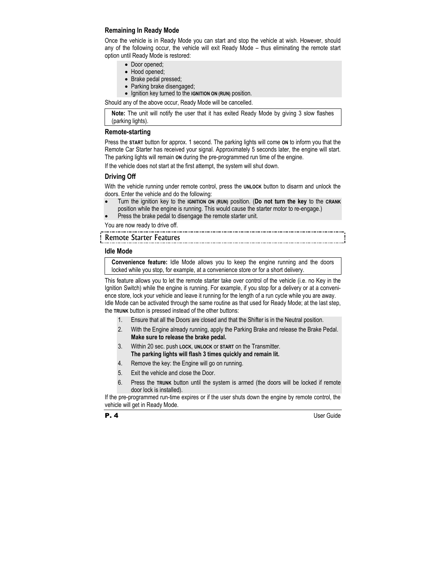### **Remaining In Ready Mode**

Once the vehicle is in Ready Mode you can start and stop the vehicle at wish. However, should any of the following occur, the vehicle will exit Ready Mode – thus eliminating the remote start option until Ready Mode is restored:

- Door opened;
- Hood opened;
- Brake pedal pressed;
- Parking brake disengaged;
- Ignition key turned to the **IGNITION ON (RUN)** position.

Should any of the above occur, Ready Mode will be cancelled.

**Note:** The unit will notify the user that it has exited Ready Mode by giving 3 slow flashes (parking lights).

#### **Remote-starting**

Press the **START** button for approx. 1 second. The parking lights will come **ON** to inform you that the Remote Car Starter has received your signal. Approximately 5 seconds later, the engine will start. The parking lights will remain **ON** during the pre-programmed run time of the engine.

If the vehicle does not start at the first attempt, the system will shut down.

#### **Driving Off**

With the vehicle running under remote control, press the **UNLOCK** button to disarm and unlock the doors. Enter the vehicle and do the following:

• Turn the ignition key to the **IGNITION ON (RUN)** position. (**Do not turn the key** to the **CRANK** position while the engine is running. This would cause the starter motor to re-engage.)

Press the brake pedal to disengage the remote starter unit.

You are now ready to drive off.

# Remote Starter Features

#### **Idle Mode**

**Convenience feature:** Idle Mode allows you to keep the engine running and the doors locked while you stop, for example, at a convenience store or for a short delivery.

This feature allows you to let the remote starter take over control of the vehicle (i.e. no Key in the Ignition Switch) while the engine is running. For example, if you stop for a delivery or at a convenience store, lock your vehicle and leave it running for the length of a run cycle while you are away. Idle Mode can be activated through the same routine as that used for Ready Mode; at the last step, the **TRUNK** button is pressed instead of the other buttons:

- 1. Ensure that all the Doors are closed and that the Shifter is in the Neutral position.
- 2. With the Engine already running, apply the Parking Brake and release the Brake Pedal. **Make sure to release the brake pedal.**
- 3. Within 20 sec. push **LOCK**, **UNLOCK** or **START** on the Transmitter. **The parking lights will flash 3 times quickly and remain lit.**
- 4. Remove the key: the Engine will go on running.
- 5. Exit the vehicle and close the Door.
- 6. Press the **TRUNK** button until the system is armed (the doors will be locked if remote door lock is installed).

If the pre-programmed run-time expires or if the user shuts down the engine by remote control, the vehicle will get in Ready Mode.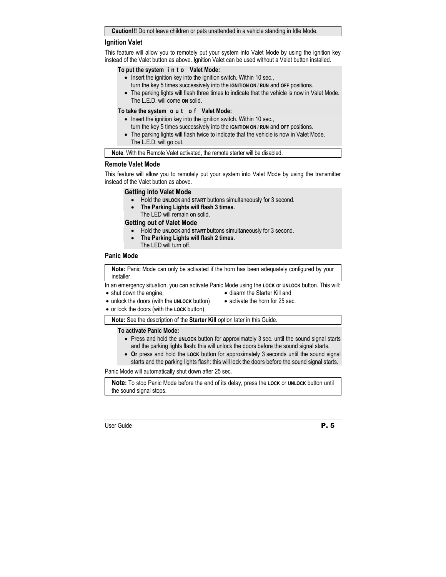#### **Caution!!!** Do not leave children or pets unattended in a vehicle standing in Idle Mode.

#### **Ignition Valet**

This feature will allow you to remotely put your system into Valet Mode by using the ignition key instead of the Valet button as above. Ignition Valet can be used without a Valet button installed.

#### **To put the system i n t o Valet Mode:**

- Insert the ignition key into the ignition switch. Within 10 sec., turn the key 5 times successively into the **IGNITION ON / RUN** and **OFF** positions.
- The parking lights will flash three times to indicate that the vehicle is now in Valet Mode. The L.E.D. will come **ON** solid.

#### **To take the system o u t o f Valet Mode:**

- Insert the ignition key into the ignition switch. Within 10 sec., turn the key 5 times successively into the **IGNITION ON / RUN** and **OFF** positions.
- The parking lights will flash twice to indicate that the vehicle is now in Valet Mode. The L.E.D. will go out.

**Note**: With the Remote Valet activated, the remote starter will be disabled.

#### **Remote Valet Mode**

This feature will allow you to remotely put your system into Valet Mode by using the transmitter instead of the Valet button as above.

#### **Getting into Valet Mode**

- Hold the **UNLOCK** and **START** buttons simultaneously for 3 second.
- **The Parking Lights will flash 3 times.**  The LED will remain on solid.

#### **Getting out of Valet Mode**

- Hold the **UNLOCK** and **START** buttons simultaneously for 3 second.
- **The Parking Lights will flash 2 times.** 
	- The LED will turn off.

#### **Panic Mode**

**Note:** Panic Mode can only be activated if the horn has been adequately configured by your installer.

In an emergency situation, you can activate Panic Mode using the **LOCK** or **UNLOCK** button. This will:

- shut down the engine,
- unlock the doors (with the **UNLOCK** button)
- disarm the Starter Kill and
- 
- activate the horn for 25 sec.
- or lock the doors (with the **LOCK** button),

**Note:** See the description of the **Starter Kill** option later in this Guide.

#### **To activate Panic Mode:**

- Press and hold the **UNLOCK** button for approximately 3 sec. until the sound signal starts and the parking lights flash: this will unlock the doors before the sound signal starts.
- **Or** press and hold the **LOCK** button for approximately 3 seconds until the sound signal starts and the parking lights flash: this will lock the doors before the sound signal starts.

Panic Mode will automatically shut down after 25 sec.

**Note:** To stop Panic Mode before the end of its delay, press the **LOCK** or **UNLOCK** button until the sound signal stops.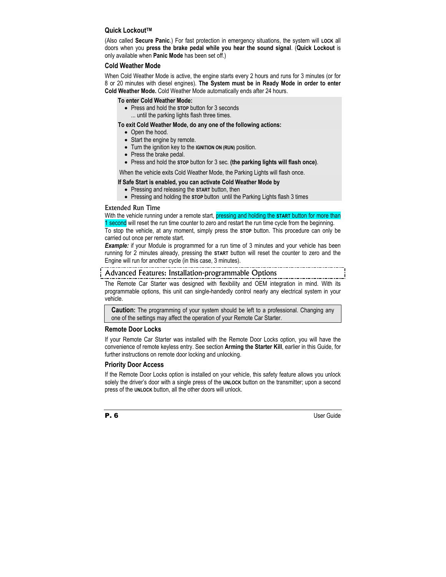#### **Quick LockoutTM**

(Also called **Secure Panic**.) For fast protection in emergency situations, the system will **LOCK** all doors when you **press the brake pedal while you hear the sound signal**. (**Quick Lockout** is only available when **Panic Mode** has been set off.)

#### **Cold Weather Mode**

When Cold Weather Mode is active, the engine starts every 2 hours and runs for 3 minutes (or for 8 or 20 minutes with diesel engines). **The System must be in Ready Mode in order to enter Cold Weather Mode.** Cold Weather Mode automatically ends after 24 hours.

#### **To enter Cold Weather Mode:**

• Press and hold the **STOP** button for 3 seconds ... until the parking lights flash three times.

#### **To exit Cold Weather Mode, do any one of the following actions:**

- Open the hood.
- Start the engine by remote.
- Turn the ignition key to the **IGNITION ON (RUN)** position.
- Press the brake pedal.
- Press and hold the **STOP** button for 3 sec. **(the parking lights will flash once)**.

When the vehicle exits Cold Weather Mode, the Parking Lights will flash once.

#### **If Safe Start is enabled, you can activate Cold Weather Mode by**

- Pressing and releasing the **START** button, then
- Pressing and holding the **STOP** button until the Parking Lights flash 3 times

#### Extended Run Time

With the vehicle running under a remote start, pressing and holding the **START** button for more than

1 second will reset the run time counter to zero and restart the run time cycle from the beginning. To stop the vehicle, at any moment, simply press the **STOP** button. This procedure can only be carried out once per remote start.

**Example:** if your Module is programmed for a run time of 3 minutes and your vehicle has been running for 2 minutes already, pressing the **START** button will reset the counter to zero and the Engine will run for another cycle (in this case, 3 minutes).

#### Advanced Features: Installation-programmable Options

The Remote Car Starter was designed with flexibility and OEM integration in mind. With its programmable options, this unit can single-handedly control nearly any electrical system in your vehicle.

**Caution:** The programming of your system should be left to a professional. Changing any one of the settings may affect the operation of your Remote Car Starter.

#### **Remote Door Locks**

If your Remote Car Starter was installed with the Remote Door Locks option, you will have the convenience of remote keyless entry. See section **Arming the Starter Kill**, earlier in this Guide, for further instructions on remote door locking and unlocking.

#### **Priority Door Access**

If the Remote Door Locks option is installed on your vehicle, this safety feature allows you unlock solely the driver's door with a single press of the **UNLOCK** button on the transmitter; upon a second press of the **UNLOCK** button, all the other doors will unlock.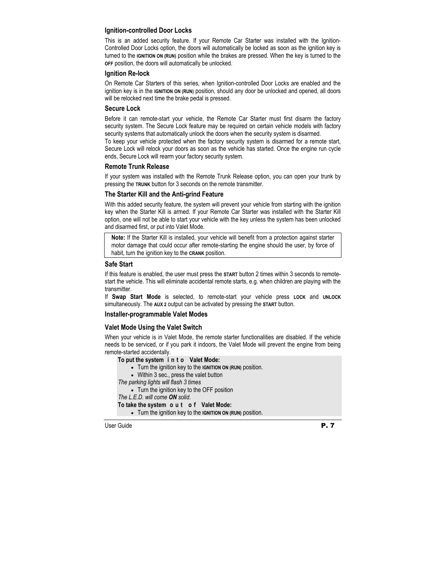### **Ignition-controlled Door Locks**

This is an added security feature. If your Remote Car Starter was installed with the Ignition-Controlled Door Locks option, the doors will automatically be locked as soon as the ignition key is turned to the **IGNITION ON (RUN)** position while the brakes are pressed. When the key is turned to the **OFF** position, the doors will automatically be unlocked.

#### **Ignition Re-lock**

On Remote Car Starters of this series, when Ignition-controlled Door Locks are enabled and the ignition key is in the **IGNITION ON (RUN)** position, should any door be unlocked and opened, all doors will be relocked next time the brake pedal is pressed.

#### **Secure Lock**

Before it can remote-start your vehicle, the Remote Car Starter must first disarm the factory security system. The Secure Lock feature may be required on certain vehicle models with factory security systems that automatically unlock the doors when the security system is disarmed.

To keep your vehicle protected when the factory security system is disarmed for a remote start, Secure Lock will relock your doors as soon as the vehicle has started. Once the engine run cycle ends, Secure Lock will rearm your factory security system.

#### **Remote Trunk Release**

If your system was installed with the Remote Trunk Release option, you can open your trunk by pressing the **TRUNK** button for 3 seconds on the remote transmitter.

#### **The Starter Kill and the Anti-grind Feature**

With this added security feature, the system will prevent your vehicle from starting with the ignition key when the Starter Kill is armed. If your Remote Car Starter was installed with the Starter Kill option, one will not be able to start your vehicle with the key unless the system has been unlocked and disarmed first, or put into Valet Mode.

**Note:** If the Starter Kill is installed, your vehicle will benefit from a protection against starter motor damage that could occur after remote-starting the engine should the user, by force of habit, turn the ignition key to the **CRANK** position.

#### **Safe Start**

If this feature is enabled, the user must press the **START** button 2 times within 3 seconds to remotestart the vehicle. This will eliminate accidental remote starts, e.g. when children are playing with the transmitter.

If **Swap Start Mode** is selected, to remote-start your vehicle press **LOCK** and **UNLOCK** simultaneously. The **AUX 2** output can be activated by pressing the **START** button.

#### **Installer-programmable Valet Modes**

#### **Valet Mode Using the Valet Switch**

When your vehicle is in Valet Mode, the remote starter functionalities are disabled. If the vehicle needs to be serviced, or if you park it indoors, the Valet Mode will prevent the engine from being remote-started accidentally.

- **To put the system i n t o Valet Mode:** 
	- Turn the ignition key to the **IGNITION ON (RUN)** position.
	- Within 3 sec., press the valet button

*The parking lights will flash 3 times* 

• Turn the ignition key to the OFF position

*The L.E.D. will come ON solid*.

#### **To take the system o u t o f Valet Mode:**

• Turn the ignition key to the **IGNITION ON (RUN)** position.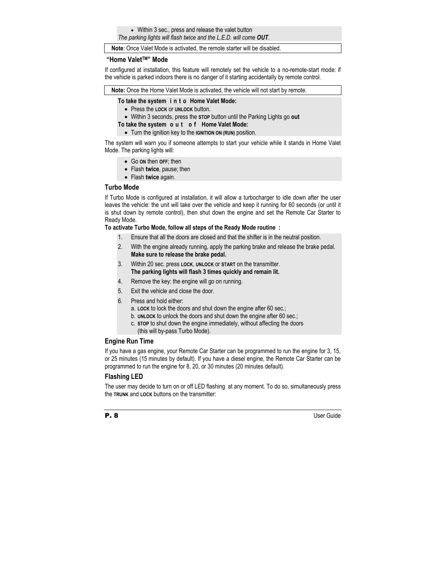• Within 3 sec., press and release the valet button *The parking lights will flash twice and the L.E.D. will come OUT.* 

**Note**: Once Valet Mode is activated, the remote starter will be disabled.

#### **"Home ValetTM" Mode**

If configured at installation, this feature will remotely set the vehicle to a no-remote-start mode: if the vehicle is parked indoors there is no danger of it starting accidentally by remote control.

**Note:** Once the Home Valet Mode is activated, the vehicle will not start by remote.

#### **To take the system i n t o Home Valet Mode:**

- Press the **LOCK** or **UNLOCK** button.
- Within 3 seconds, press the **STOP** button until the Parking Lights go **out**

#### **To take the system o u t o f Home Valet Mode:**

• Turn the ignition key to the **IGNITION ON (RUN)** position.

The system will warn you if someone attempts to start your vehicle while it stands in Home Valet Mode. The parking lights will:

- Go **ON** then **OFF**; then
- Flash **twice**, pause; then
- Flash **twice** again.

#### **Turbo Mode**

If Turbo Mode is configured at installation, it will allow a turbocharger to idle down after the user leaves the vehicle: the unit will take over the vehicle and keep it running for 60 seconds (or until it is shut down by remote control), then shut down the engine and set the Remote Car Starter to Ready Mode.

#### **To activate Turbo Mode, follow all steps of the Ready Mode routine :**

- 1. Ensure that all the doors are closed and that the shifter is in the neutral position.
- 2. With the engine already running, apply the parking brake and release the brake pedal. **Make sure to release the brake pedal.**
- 3. Within 20 sec. press **LOCK**, **UNLOCK** or **START** on the transmitter. **The parking lights will flash 3 times quickly and remain lit.**
- 4. Remove the key: the engine will go on running.
- 5. Exit the vehicle and close the door.
- 6. Press and hold either:
	- a. **LOCK** to lock the doors and shut down the engine after 60 sec.;
	- b. **UNLOCK** to unlock the doors and shut down the engine after 60 sec.;
	- c. **STOP** to shut down the engine immediately, without affecting the doors (this will by-pass Turbo Mode).

#### **Engine Run Time**

If you have a gas engine, your Remote Car Starter can be programmed to run the engine for 3, 15, or 25 minutes (15 minutes by default). If you have a diesel engine, the Remote Car Starter can be programmed to run the engine for 8, 20, or 30 minutes (20 minutes default).

#### **Flashing LED**

The user may decide to turn on or off LED flashing at any moment. To do so, simultaneously press the **TRUNK** and **LOCK** buttons on the transmitter: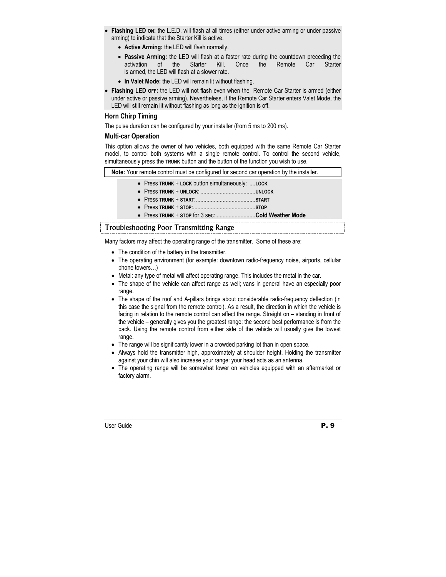- **Flashing LED ON:** the L.E.D. will flash at all times (either under active arming or under passive arming) to indicate that the Starter Kill is active.
	- **Active Arming:** the LED will flash normally.
	- **Passive Arming:** the LED will flash at a faster rate during the countdown preceding the activation of the Starter Kill. Once the Remote Car Starter is armed, the LED will flash at a slower rate.
	- **In Valet Mode:** the LED will remain lit without flashing.
- **Flashing LED OFF:** the LED will not flash even when the Remote Car Starter is armed (either under active or passive arming). Nevertheless, if the Remote Car Starter enters Valet Mode, the LED will still remain lit without flashing as long as the ignition is off.

### **Horn Chirp Timing**

The pulse duration can be configured by your installer (from 5 ms to 200 ms).

#### **Multi-car Operation**

This option allows the owner of two vehicles, both equipped with the same Remote Car Starter model, to control both systems with a single remote control. To control the second vehicle, simultaneously press the **TRUNK** button and the button of the function you wish to use.

**Note:** Your remote control must be configured for second car operation by the installer.

- Press **TRUNK** + **LOCK** button simultaneously: ....**LOCK**
- Press **TRUNK** + **UNLOCK**: .....................................**UNLOCK**
- Press **TRUNK** + **START**:........................................**START**
- Press **TRUNK** + **STOP**:..........................................**STOP**
- Press **TRUNK** + **STOP** for 3 sec:...........................**Cold Weather Mode**

# Troubleshooting Poor Transmitting Range

Many factors may affect the operating range of the transmitter. Some of these are:

- The condition of the battery in the transmitter.
- The operating environment (for example: downtown radio-frequency noise, airports, cellular phone towers…)
- Metal: any type of metal will affect operating range. This includes the metal in the car.
- The shape of the vehicle can affect range as well; vans in general have an especially poor range.
- The shape of the roof and A-pillars brings about considerable radio-frequency deflection (in this case the signal from the remote control). As a result, the direction in which the vehicle is facing in relation to the remote control can affect the range. Straight on – standing in front of the vehicle – generally gives you the greatest range; the second best performance is from the back. Using the remote control from either side of the vehicle will usually give the lowest range.
- The range will be significantly lower in a crowded parking lot than in open space.
- Always hold the transmitter high, approximately at shoulder height. Holding the transmitter against your chin will also increase your range: your head acts as an antenna.
- The operating range will be somewhat lower on vehicles equipped with an aftermarket or factory alarm.